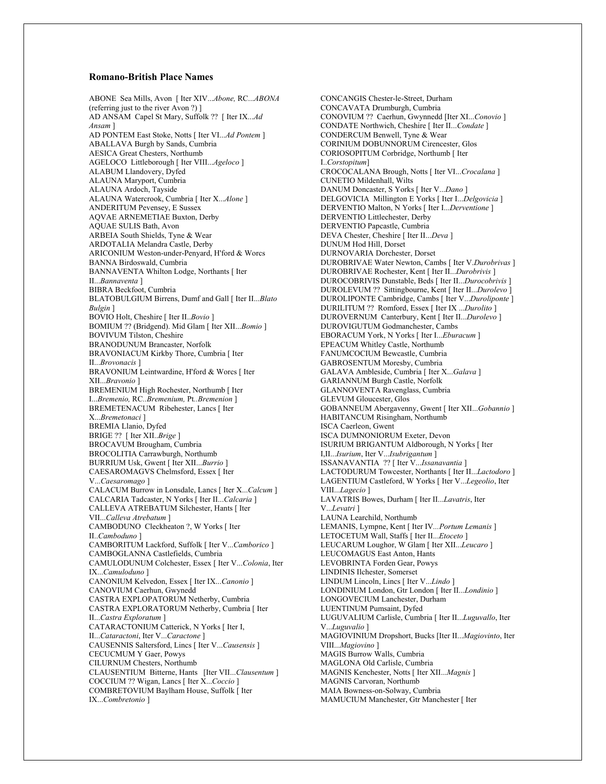## **Romano-British Place Names**

ABONE Sea Mills, Avon [ Iter XIV...*Abone,* RC...*ABONA*  (referring just to the river Avon ?) ] AD ANSAM Capel St Mary, Suffolk ?? [ Iter IX...*Ad Ansam* ] AD PONTEM East Stoke, Notts [ Iter VI...*Ad Pontem* ] ABALLAVA Burgh by Sands, Cumbria AESICA Great Chesters, Northumb AGELOCO Littleborough [ Iter VIII...*Ageloco* ] ALABUM Llandovery, Dyfed ALAUNA Maryport, Cumbria ALAUNA Ardoch, Tayside ALAUNA Watercrook, Cumbria [ Iter X...*Alone* ] ANDERITUM Pevensey, E Sussex AQVAE ARNEMETIAE Buxton, Derby AQUAE SULIS Bath, Avon ARBEIA South Shields, Tyne & Wear ARDOTALIA Melandra Castle, Derby ARICONIUM Weston-under-Penyard, H'ford & Worcs BANNA Birdoswald, Cumbria BANNAVENTA Whilton Lodge, Northants [ Iter II...*Bannaventa* ] BIBRA Beckfoot, Cumbria BLATOBULGIUM Birrens, Dumf and Gall [ Iter II...*Blato Bulgin* ] BOVIO Holt, Cheshire [ Iter II..*Bovio* ] BOMIUM ?? (Bridgend). Mid Glam [ Iter XII...*Bomio* ] BOVIVUM Tilston, Cheshire BRANODUNUM Brancaster, Norfolk BRAVONIACUM Kirkby Thore, Cumbria [ Iter II...*Brovonacis* ] BRAVONIUM Leintwardine, H'ford & Worcs [ Iter XII...*Bravonio* ] BREMENIUM High Rochester, Northumb [ Iter I...*Bremenio,* RC*..Bremenium,* Pt*..Bremenion* ] BREMETENACUM Ribehester, Lancs [ Iter X...*Bremetonaci* ] BREMIA Llanio, Dyfed BRIGE ?? [ Iter XII..*Brige* ] BROCAVUM Brougham, Cumbria BROCOLITIA Carrawburgh, Northumb BURRIUM Usk, Gwent [ Iter XII...*Burrio* ] CAESAROMAGVS Chelmsford, Essex [ Iter V...*Caesaromago* ] CALACUM Burrow in Lonsdale, Lancs [ Iter X...*Calcum* ] CALCARIA Tadcaster, N Yorks [ Iter II...*Calcaria* ] CALLEVA ATREBATUM Silchester, Hants [ Iter VII...*Calleva Atrebatum* ] CAMBODUNO Cleckheaton ?, W Yorks [ Iter II..*Camboduno* ] CAMBORITUM Lackford, Suffolk [ Iter V...*Camborico* ] CAMBOGLANNA Castlefields, Cumbria CAMULODUNUM Colchester, Essex [ Iter V...*Colonia*, Iter IX...*Camuloduno* ] CANONIUM Kelvedon, Essex [ Iter IX...*Canonio* ] CANOVIUM Caerhun, Gwynedd CASTRA EXPLOPATORUM Netherby, Cumbria CASTRA EXPLORATORUM Netherby, Cumbria [ Iter II...*Castra Exploratum* ] CATARACTONIUM Catterick, N Yorks [ Iter I, II...*Cataractoni*, Iter V...*Caractone* ] CAUSENNIS Saltersford, Lincs [ Iter V...*Causensis* ] CECUCMUM Y Gaer, Powys CILURNUM Chesters, Northumb CLAUSENTIUM Bitterne, Hants [Iter VII...*Clausentum* ] COCCIUM ?? Wigan, Lancs [ Iter X...*Coccio* ] COMBRETOVIUM Baylham House, Suffolk [ Iter IX...*Combretonio* ]

CONCANGIS Chester-le-Street, Durham CONCAVATA Drumburgh, Cumbria CONOVIUM ?? Caerhun, Gwynnedd [Iter XI...*Conovio* ] CONDATE Northwich, Cheshire [ Iter II...*Condate* ] CONDERCUM Benwell, Tyne & Wear CORINIUM DOBUNNORUM Cirencester, Glos CORIOSOPITUM Corbridge, Northumb [ Iter I..*Corstopitum*] CROCOCALANA Brough, Notts [ Iter VI...*Crocalana* ] CUNETIO Mildenhall, Wilts DANUM Doncaster, S Yorks [ Iter V...*Dano* ] DELGOVICIA Millington E Yorks [ Iter I...*Delgovicia* ] DERVENTIO Malton, N Yorks [ Iter I...*Derventione* ] DERVENTIO Littlechester, Derby DERVENTIO Papcastle, Cumbria DEVA Chester, Cheshire [ Iter II...*Deva* ] DUNUM Hod Hill, Dorset DURNOVARIA Dorchester, Dorset DUROBRIVAE Water Newton, Cambs [ Iter V.*Durobrivas* ] DUROBRIVAE Rochester, Kent [ Iter II...*Durobrivis* ] DUROCOBRIVIS Dunstable, Beds [ Iter II...*Durocobrivis* ] DUROLEVUM ?? Sittingbourne, Kent [ Iter II...*Durolevo* ] DUROLIPONTE Cambridge, Cambs [ Iter V...*Duroliponte* ] DURILITUM ?? Romford, Essex [ Iter IX ...*Durolito* ] DUROVERNUM Canterbury, Kent [ Iter II...*Durolevo* ] DUROVIGUTUM Godmanchester, Cambs EBORACUM York, N Yorks [ Iter I...*Eburacum* ] EPEACUM Whitley Castle, Northumb FANUMCOCIUM Bewcastle, Cumbria GABROSENTUM Moresby, Cumbria GALAVA Ambleside, Cumbria [ Iter X...*Galava* ] GARIANNUM Burgh Castle, Norfolk GLANNOVENTA Ravenglass, Cumbria GLEVUM Gloucester, Glos GOBANNEUM Abergavenny, Gwent [ Iter XII...*Gobannio* ] HABITANCUM Risingham, Northumb ISCA Caerleon, Gwent ISCA DUMNONIORUM Exeter, Devon ISURIUM BRIGANTUM Aldborough, N Yorks [ Iter I,II...*Isurium*, Iter V...*Isubrigantum* ] ISSANAVANTIA ?? [ Iter V...*Issanavantia* ] LACTODURUM Towcester, Northants [ Iter II...*Lactodoro* ] LAGENTIUM Castleford, W Yorks [ Iter V...*Legeolio*, Iter VIII...*Lagecio* ] LAVATRIS Bowes, Durham [ Iter II...*Lavatris*, Iter V...*Levatri* ] LAUNA Learchild, Northumb LEMANIS, Lympne, Kent [ Iter IV*...Portum Lemanis* ] LETOCETUM Wall, Staffs [ Iter II...*Etoceto* ] LEUCARUM Loughor, W Glam [ Iter XII...*Leucaro* ] LEUCOMAGUS East Anton, Hants LEVOBRINTA Forden Gear, Powys LINDINIS Ilchester, Somerset LINDUM Lincoln, Lincs [ Iter V...*Lindo* ] LONDINIUM London, Gtr London [ Iter II...*Londinio* ] LONGOVECIUM Lanchester, Durham LUENTINUM Pumsaint, Dyfed LUGUVALIUM Carlisle, Cumbria [ Iter II...*Luguvallo*, Iter V...*Luguvalio* ] MAGIOVINIUM Dropshort, Bucks [Iter II...*Magiovinto*, Iter VIII...*Magiovino* ] MAGIS Burrow Walls, Cumbria MAGLONA Old Carlisle, Cumbria MAGNIS Kenchester, Notts [ Iter XII...*Magnis* ] MAGNIS Carvoran, Northumb MAIA Bowness-on-Solway, Cumbria MAMUCIUM Manchester, Gtr Manchester [ Iter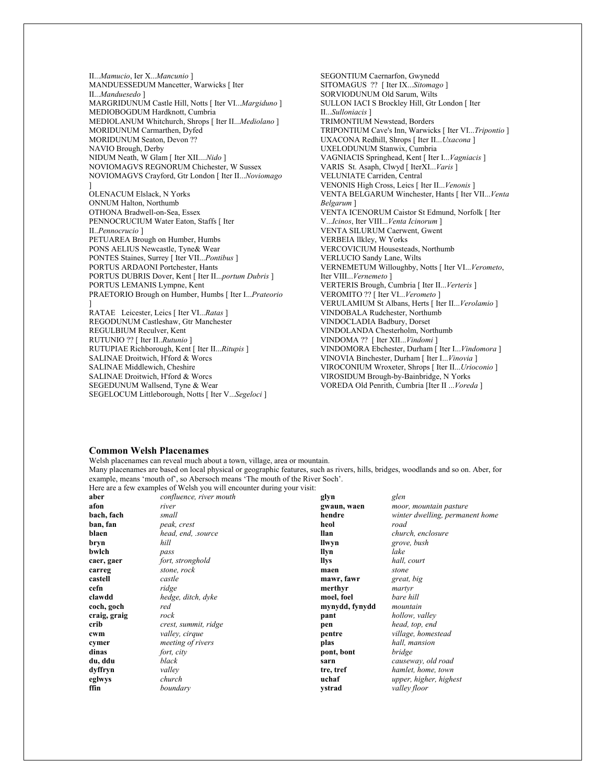II...*Mamucio*, Ier X...*Mancunio* ] MANDUESSEDUM Mancetter, Warwicks [ Iter II...*Manduesedo* ] MARGRIDUNUM Castle Hill, Notts [ Iter VI...*Margiduno* ] MEDIOBOGDUM Hardknott, Cumbria MEDIOLANUM Whitchurch, Shrops [ Iter II...*Mediolano* ] MORIDUNUM Carmarthen, Dyfed MORIDUNUM Seaton, Devon ?? NAVIO Brough, Derby NIDUM Neath, W Glam [ Iter XII....*Nido* ] NOVIOMAGVS REGNORUM Chichester, W Sussex NOVIOMAGVS Crayford, Gtr London [ Iter II...*Noviomago* ] OLENACUM Elslack, N Yorks ONNUM Halton, Northumb OTHONA Bradwell-on-Sea, Essex PENNOCRUCIUM Water Eaton, Staffs [ Iter II..*Pennocrucio* ] PETUAREA Brough on Humber, Humbs PONS AELIUS Newcastle, Tyne& Wear PONTES Staines, Surrey [ Iter VII...*Pontibus* ] PORTUS ARDAONI Portchester, Hants PORTUS DUBRIS Dover, Kent [ Iter II...*portum Dubris* ] PORTUS LEMANIS Lympne, Kent PRAETORIO Brough on Humber, Humbs [ Iter I...*Prateorio* ] RATAE Leicester, Leics [ Iter VI...*Ratas* ] REGODUNUM Castleshaw, Gtr Manchester REGULBIUM Reculver, Kent RUTUNIO ?? [ Iter II..*Rutunio* ] RUTUPIAE Richborough, Kent [ Iter II...*Ritupis* ] SALINAE Droitwich, H'ford & Worcs SALINAE Middlewich, Cheshire SALINAE Droitwich, H'ford & Worcs SEGEDUNUM Wallsend, Tyne & Wear SEGELOCUM Littleborough, Notts [ Iter V...*Segeloci* ]

SEGONTIUM Caernarfon, Gwynedd SITOMAGUS ?? [ Iter IX...*Sitomago* ] SORVIODUNUM Old Sarum, Wilts SULLON IACI S Brockley Hill, Gtr London [ Iter II...*Sulloniacis* ] TRIMONTIUM Newstead, Borders TRIPONTIUM Cave's Inn, Warwicks [ Iter VI...*Tripontio* ] UXACONA Redhill, Shrops [ Iter II...*Uxacona* ] UXELODUNUM Stanwix, Cumbria VAGNIACIS Springhead, Kent [ Iter I...*Vagniacis* ] VARIS St. Asaph, Clwyd [ IterXI...*Varis* ] VELUNIATE Carriden, Central VENONIS High Cross, Leics [ Iter II...*Venonis* ] VENTA BELGARUM Winchester, Hants [ Iter VII...*Venta Belgarum* ] VENTA ICENORUM Caistor St Edmund, Norfolk [ Iter V...*Icinos*, Iter VIII...*Venta Icinorum* ] VENTA SILURUM Caerwent, Gwent VERBEIA llkley, W Yorks VERCOVICIUM Housesteads, Northumb VERLUCIO Sandy Lane, Wilts VERNEMETUM Willoughby, Notts [ Iter VI...*Verometo*, Iter VIII...*Vernemeto* ] VERTERIS Brough, Cumbria [ Iter II...*Verteris* ] VEROMITO ?? [ Iter VI...*Verometo* ] VERULAMIUM St Albans, Herts [ Iter II...*Verolamio* ] VINDOBALA Rudchester, Northumb VINDOCLADIA Badbury, Dorset VINDOLANDA Chesterholm, Northumb VINDOMA ?? [ Iter XII...*Vindomi* ] VINDOMORA Ebchester, Durham [ Iter I...*Vindomora* ] VINOVIA Binchester, Durham [ Iter I...*Vinovia* ] VIROCONIUM Wroxeter, Shrops [ Iter II...*Urioconio* ] VIROSIDUM Brough-by-Bainbridge, N Yorks VOREDA Old Penrith, Cumbria [Iter II ...*Voreda* ]

## **Common Welsh Placenames**

Welsh placenames can reveal much about a town, village, area or mountain.

Many placenames are based on local physical or geographic features, such as rivers, hills, bridges, woodlands and so on. Aber, for example, means 'mouth of', so Abersoch means 'The mouth of the River Soch'.

|              | Here are a few examples of Welsh you will encounter during your visit: |                |                                 |
|--------------|------------------------------------------------------------------------|----------------|---------------------------------|
| aber         | confluence, river mouth                                                | glyn           | glen                            |
| afon         | river                                                                  | gwaun, waen    | moor, mountain pasture          |
| bach, fach   | small                                                                  | hendre         | winter dwelling, permanent home |
| ban, fan     | peak, crest                                                            | heol           | road                            |
| blaen        | head, end, .source                                                     | llan           | church, enclosure               |
| bryn         | hill                                                                   | llwyn          | grove, bush                     |
| bwlch        | pass                                                                   | llyn           | lake                            |
| caer, gaer   | fort, stronghold                                                       | llys           | hall, court                     |
| carreg       | stone, rock                                                            | maen           | stone                           |
| castell      | castle                                                                 | mawr, fawr     | great, big                      |
| cefn         | ridge                                                                  | merthyr        | martyr                          |
| clawdd       | hedge, ditch, dyke                                                     | moel, foel     | bare hill                       |
| coch, goch   | red                                                                    | mynydd, fynydd | mountain                        |
| craig, graig | rock                                                                   | pant           | hollow, valley                  |
| crib         | crest, summit, ridge                                                   | pen            | head, top, end                  |
| cwm          | valley, cirque                                                         | pentre         | village, homestead              |
| cymer        | meeting of rivers                                                      | plas           | hall, mansion                   |
| dinas        | fort, city                                                             | pont, bont     | bridge                          |
| du, ddu      | black                                                                  | sarn           | causeway, old road              |
| dyffryn      | valley                                                                 | tre, tref      | hamlet, home, town              |
| eglwys       | church                                                                 | uchaf          | upper, higher, highest          |
| ffin         | boundary                                                               | ystrad         | valley floor                    |
|              |                                                                        |                |                                 |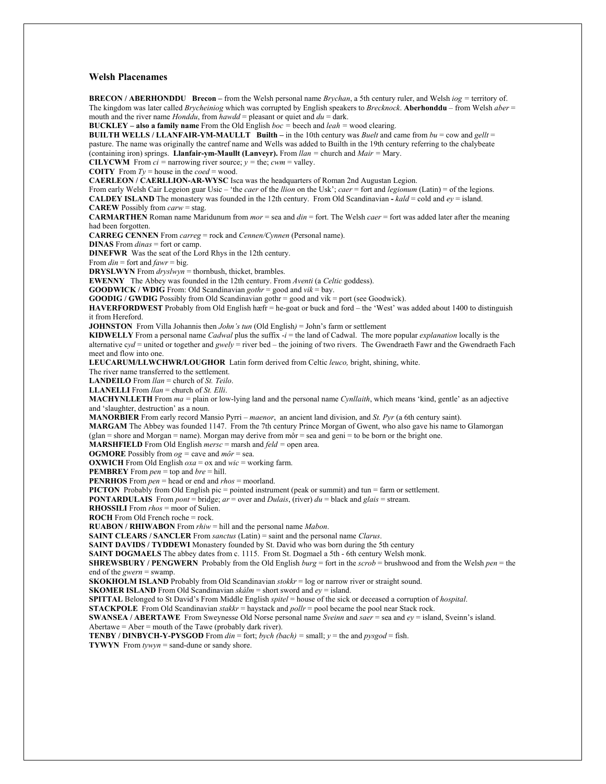## **Welsh Placenames**

**BRECON / ABERHONDDU Brecon –** from the Welsh personal name *Brychan*, a 5th century ruler, and Welsh *iog =* territory of. The kingdom was later called *Brycheiniog* which was corrupted by English speakers to *Brecknock*. **Aberhonddu** – from Welsh *aber* = mouth and the river name *Honddu*, from *hawdd* = pleasant or quiet and  $du =$  dark.

**BUCKLEY – also a family name** From the Old English *boc =* beech and *leah =* wood clearing.

**BUILTH WELLS / LLANFAIR-YM-MAULLT Builth –** in the 10th century was *Buelt* and came from *bu* = cow and *gellt* = pasture. The name was originally the cantref name and Wells was added to Builth in the 19th century referring to the chalybeate (containing iron) springs. **Llanfair-ym-Maullt (Lanveyr).** From *llan =* church and *Mair =* Mary.

**CILYCWM** From  $ci$  = narrowing river source;  $y$  = the;  $cwm$  = valley.

**COITY** From  $Ty = \text{house in the  $coed = \text{wood}$ .$ 

**CAERLEON / CAERLLION-AR-WYSC** Isca was the headquarters of Roman 2nd Augustan Legion.

From early Welsh Cair Legeion guar Usic – 'the *caer* of the *llion* on the Usk'; *caer* = fort and *legionum* (Latin) = of the legions. **CALDEY ISLAND** The monastery was founded in the 12th century. From Old Scandinavian -  $kald = \text{cold}$  and  $ev = \text{island}$ .

**CAREW** Possibly from *carw* = stag.

**CARMARTHEN** Roman name Maridunum from *mor* = sea and *din* = fort. The Welsh *caer* = fort was added later after the meaning had been forgotten.

**CARREG CENNEN** From *carreg* = rock and *Cennen/Cynnen* (Personal name).

**DINAS** From *dinas* = fort or camp.

**DINEFWR** Was the seat of the Lord Rhys in the 12th century.

From *din* = fort and *fawr* = big.

**DRYSLWYN** From *dryslwyn* = thornbush, thicket, brambles.

**EWENNY** The Abbey was founded in the 12th century. From *Aventi* (a *Celtic* goddess).

**GOODWICK / WDIG** From: Old Scandinavian *gothr* = good and *vik* = bay.

**GOODIG / GWDIG** Possibly from Old Scandinavian gothr = good and vik = port (see Goodwick).

**HAVERFORDWEST** Probably from Old English hæfr = he-goat or buck and ford – the 'West' was added about 1400 to distinguish it from Hereford.

**JOHNSTON** From Villa Johannis then *John's tun* (Old English*)* = John's farm or settlement

**KIDWELLY** From a personal name *Cadwal* plus the suffix -*i* = the land of Cadwal. The more popular *explanation* locally is the alternative c*yd* = united or together and *gwely* = river bed – the joining of two rivers. The Gwendraeth Fawr and the Gwendraeth Fach meet and flow into one.

**LEUCARUM/LLWCHWR/LOUGHOR** Latin form derived from Celtic *leuco,* bright, shining, white.

The river name transferred to the settlement.

**LANDEILO** From *llan* = church of *St. Teilo*.

**LLANELLI** From *llan* = church of *St. Elli*.

**MACHYNLLETH** From *ma =* plain or low-lying land and the personal name *Cynllaith*, which means 'kind, gentle' as an adjective and 'slaughter, destruction' as a noun.

**MANORBIER** From early record Mansio Pyrri – *maenor*, an ancient land division, and *St. Pyr* (a 6th century saint).

**MARGAM** The Abbey was founded 1147. From the 7th century Prince Morgan of Gwent, who also gave his name to Glamorgan

 $(glan = shore and Morgan = name)$ . Morgan may derive from  $m\delta r = sea$  and  $geni = to$  be born or the bright one.

**MARSHFIELD** From Old English *mersc* = marsh and *feld =* open area.

**OGMORE** Possibly from  $og = \text{cave}$  and  $m\hat{o}r = \text{sea}$ .

**OXWICH** From Old English *oxa* = ox and *wic* = working farm.

**PEMBREY** From *pen* = top and *bre* = hill.

**PENRHOS** From *pen* = head or end and *rhos* = moorland.

**PICTON** Probably from Old English pic = pointed instrument (peak or summit) and tun = farm or settlement.

**PONTARDULAIS** From *pont* = bridge;  $ar =$  over and *Dulais*, (river)  $du =$  black and *glais* = stream.

**RHOSSILI** From *rhos* = moor of Sulien.

**ROCH** From Old French roche = rock.

**RUABON / RHIWABON** From *rhiw* = hill and the personal name *Mabon*.

**SAINT CLEARS / SANCLER** From *sanctus* (Latin) = saint and the personal name *Clarus*.

**SAINT DAVIDS / TYDDEWI** Monastery founded by St. David who was born during the 5th century

**SAINT DOGMAELS** The abbey dates from c. 1115. From St. Dogmael a 5th - 6th century Welsh monk.

**SHREWSBURY / PENGWERN** Probably from the Old English *burg* = fort in the *scrob* = brushwood and from the Welsh *pen* = the end of the *gwern* = swamp.

**SKOKHOLM ISLAND** Probably from Old Scandinavian *stokkr* = log or narrow river or straight sound.

**SKOMER ISLAND** From Old Scandinavian *skálm* = short sword and *ey* = island.

**SPITTAL** Belonged to St David's From Middle English *spitel* = house of the sick or deceased a corruption of *hospital*.

**STACKPOLE** From Old Scandinavian *stakkr* = haystack and *pollr* = pool became the pool near Stack rock.

**SWANSEA / ABERTAWE** From Sweynesse Old Norse personal name *Sveinn* and *saer* = sea and *ey* = island, Sveinn's island.

Abertawe = Aber = mouth of the Tawe (probably dark river).

**TENBY / DINBYCH-Y-PYSGOD** From *din* = fort; *bych (bach) =* small; *y* = the and *pysgod* = fish.

**TYWYN** From *tywyn* = sand-dune or sandy shore.